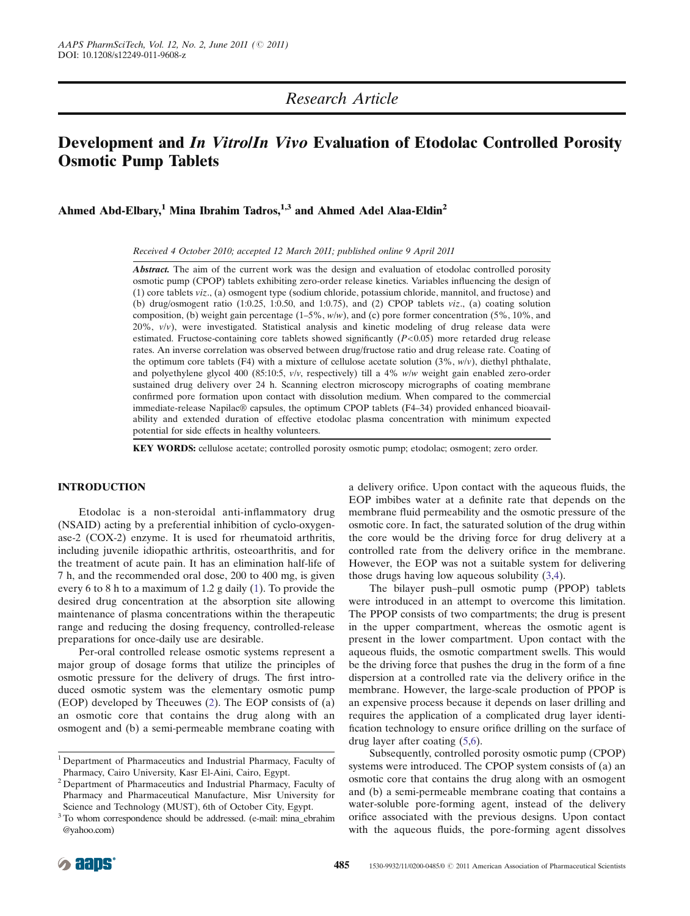## Research Article

# Development and In Vitro/In Vivo Evaluation of Etodolac Controlled Porosity Osmotic Pump Tablets

Ahmed Abd-Elbary,<sup>1</sup> Mina Ibrahim Tadros,  $1,3$  and Ahmed Adel Alaa-Eldin<sup>2</sup>

Received 4 October 2010; accepted 12 March 2011; published online 9 April 2011

Abstract. The aim of the current work was the design and evaluation of etodolac controlled porosity osmotic pump (CPOP) tablets exhibiting zero-order release kinetics. Variables influencing the design of (1) core tablets viz., (a) osmogent type (sodium chloride, potassium chloride, mannitol, and fructose) and (b) drug/osmogent ratio (1:0.25, 1:0.50, and 1:0.75), and (2) CPOP tablets viz., (a) coating solution composition, (b) weight gain percentage  $(1-5\%, w/w)$ , and (c) pore former concentration (5%, 10%, and 20%,  $v/v$ ), were investigated. Statistical analysis and kinetic modeling of drug release data were estimated. Fructose-containing core tablets showed significantly  $(P<0.05)$  more retarded drug release rates. An inverse correlation was observed between drug/fructose ratio and drug release rate. Coating of the optimum core tablets (F4) with a mixture of cellulose acetate solution  $(3\%, w/v)$ , diethyl phthalate, and polyethylene glycol 400 (85:10:5,  $v/v$ , respectively) till a 4%  $w/w$  weight gain enabled zero-order sustained drug delivery over 24 h. Scanning electron microscopy micrographs of coating membrane confirmed pore formation upon contact with dissolution medium. When compared to the commercial immediate-release Napilac® capsules, the optimum CPOP tablets (F4–34) provided enhanced bioavailability and extended duration of effective etodolac plasma concentration with minimum expected potential for side effects in healthy volunteers.

KEY WORDS: cellulose acetate; controlled porosity osmotic pump; etodolac; osmogent; zero order.

## INTRODUCTION

Etodolac is a non-steroidal anti-inflammatory drug (NSAID) acting by a preferential inhibition of cyclo-oxygenase-2 (COX-2) enzyme. It is used for rheumatoid arthritis, including juvenile idiopathic arthritis, osteoarthritis, and for the treatment of acute pain. It has an elimination half-life of 7 h, and the recommended oral dose, 200 to 400 mg, is given every 6 to 8 h to a maximum of 1.2 g daily [\(1\)](#page-9-0). To provide the desired drug concentration at the absorption site allowing maintenance of plasma concentrations within the therapeutic range and reducing the dosing frequency, controlled-release preparations for once-daily use are desirable.

Per-oral controlled release osmotic systems represent a major group of dosage forms that utilize the principles of osmotic pressure for the delivery of drugs. The first introduced osmotic system was the elementary osmotic pump (EOP) developed by Theeuwes ([2\)](#page-9-0). The EOP consists of (a) an osmotic core that contains the drug along with an osmogent and (b) a semi-permeable membrane coating with a delivery orifice. Upon contact with the aqueous fluids, the EOP imbibes water at a definite rate that depends on the membrane fluid permeability and the osmotic pressure of the osmotic core. In fact, the saturated solution of the drug within the core would be the driving force for drug delivery at a controlled rate from the delivery orifice in the membrane. However, the EOP was not a suitable system for delivering those drugs having low aqueous solubility ([3,4\)](#page-9-0).

The bilayer push–pull osmotic pump (PPOP) tablets were introduced in an attempt to overcome this limitation. The PPOP consists of two compartments; the drug is present in the upper compartment, whereas the osmotic agent is present in the lower compartment. Upon contact with the aqueous fluids, the osmotic compartment swells. This would be the driving force that pushes the drug in the form of a fine dispersion at a controlled rate via the delivery orifice in the membrane. However, the large-scale production of PPOP is an expensive process because it depends on laser drilling and requires the application of a complicated drug layer identification technology to ensure orifice drilling on the surface of drug layer after coating ([5](#page-9-0),[6](#page-9-0)).

Subsequently, controlled porosity osmotic pump (CPOP) systems were introduced. The CPOP system consists of (a) an osmotic core that contains the drug along with an osmogent and (b) a semi-permeable membrane coating that contains a water-soluble pore-forming agent, instead of the delivery orifice associated with the previous designs. Upon contact with the aqueous fluids, the pore-forming agent dissolves

<sup>&</sup>lt;sup>1</sup> Department of Pharmaceutics and Industrial Pharmacy, Faculty of Pharmacy, Cairo University, Kasr El-Aini, Cairo, Egypt.

<sup>2</sup> Department of Pharmaceutics and Industrial Pharmacy, Faculty of Pharmacy and Pharmaceutical Manufacture, Misr University for Science and Technology (MUST), 6th of October City, Egypt.

<sup>&</sup>lt;sup>3</sup> To whom correspondence should be addressed. (e-mail: mina ebrahim @yahoo.com)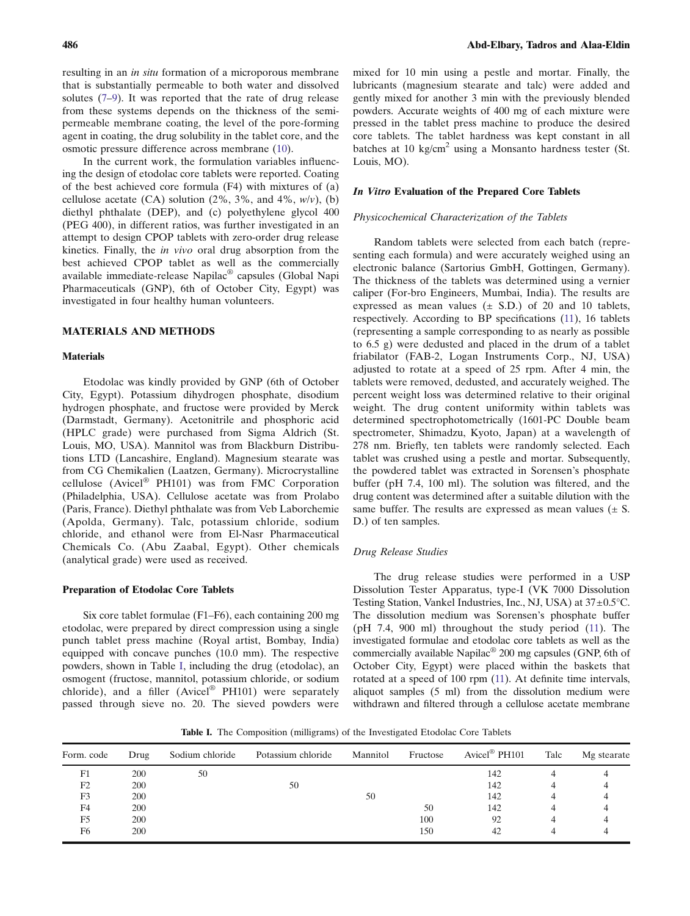resulting in an in situ formation of a microporous membrane that is substantially permeable to both water and dissolved solutes ([7](#page-9-0)–[9](#page-9-0)). It was reported that the rate of drug release from these systems depends on the thickness of the semipermeable membrane coating, the level of the pore-forming agent in coating, the drug solubility in the tablet core, and the osmotic pressure difference across membrane ([10\)](#page-9-0).

In the current work, the formulation variables influencing the design of etodolac core tablets were reported. Coating of the best achieved core formula (F4) with mixtures of (a) cellulose acetate (CA) solution (2%, 3%, and 4%,  $w/v$ ), (b) diethyl phthalate (DEP), and (c) polyethylene glycol 400 (PEG 400), in different ratios, was further investigated in an attempt to design CPOP tablets with zero-order drug release kinetics. Finally, the in vivo oral drug absorption from the best achieved CPOP tablet as well as the commercially available immediate-release Napilac® capsules (Global Napi Pharmaceuticals (GNP), 6th of October City, Egypt) was investigated in four healthy human volunteers.

## MATERIALS AND METHODS

#### **Materials**

Etodolac was kindly provided by GNP (6th of October City, Egypt). Potassium dihydrogen phosphate, disodium hydrogen phosphate, and fructose were provided by Merck (Darmstadt, Germany). Acetonitrile and phosphoric acid (HPLC grade) were purchased from Sigma Aldrich (St. Louis, MO, USA). Mannitol was from Blackburn Distributions LTD (Lancashire, England). Magnesium stearate was from CG Chemikalien (Laatzen, Germany). Microcrystalline cellulose (Avicel® PH101) was from FMC Corporation (Philadelphia, USA). Cellulose acetate was from Prolabo (Paris, France). Diethyl phthalate was from Veb Laborchemie (Apolda, Germany). Talc, potassium chloride, sodium chloride, and ethanol were from El-Nasr Pharmaceutical Chemicals Co. (Abu Zaabal, Egypt). Other chemicals (analytical grade) were used as received.

#### Preparation of Etodolac Core Tablets

Six core tablet formulae (F1–F6), each containing 200 mg etodolac, were prepared by direct compression using a single punch tablet press machine (Royal artist, Bombay, India) equipped with concave punches (10.0 mm). The respective powders, shown in Table I, including the drug (etodolac), an osmogent (fructose, mannitol, potassium chloride, or sodium chloride), and a filler (Avicel® PH101) were separately passed through sieve no. 20. The sieved powders were

mixed for 10 min using a pestle and mortar. Finally, the lubricants (magnesium stearate and talc) were added and gently mixed for another 3 min with the previously blended powders. Accurate weights of 400 mg of each mixture were pressed in the tablet press machine to produce the desired core tablets. The tablet hardness was kept constant in all batches at 10 kg/cm<sup>2</sup> using a Monsanto hardness tester (St. Louis, MO).

#### In Vitro Evaluation of the Prepared Core Tablets

## Physicochemical Characterization of the Tablets

Random tablets were selected from each batch (representing each formula) and were accurately weighed using an electronic balance (Sartorius GmbH, Gottingen, Germany). The thickness of the tablets was determined using a vernier caliper (For-bro Engineers, Mumbai, India). The results are expressed as mean values  $(\pm$  S.D.) of 20 and 10 tablets, respectively. According to BP specifications [\(11\)](#page-9-0), 16 tablets (representing a sample corresponding to as nearly as possible to 6.5 g) were dedusted and placed in the drum of a tablet friabilator (FAB-2, Logan Instruments Corp., NJ, USA) adjusted to rotate at a speed of 25 rpm. After 4 min, the tablets were removed, dedusted, and accurately weighed. The percent weight loss was determined relative to their original weight. The drug content uniformity within tablets was determined spectrophotometrically (1601-PC Double beam spectrometer, Shimadzu, Kyoto, Japan) at a wavelength of 278 nm. Briefly, ten tablets were randomly selected. Each tablet was crushed using a pestle and mortar. Subsequently, the powdered tablet was extracted in Sorensen's phosphate buffer (pH 7.4, 100 ml). The solution was filtered, and the drug content was determined after a suitable dilution with the same buffer. The results are expressed as mean values  $(\pm S$ . D.) of ten samples.

## Drug Release Studies

The drug release studies were performed in a USP Dissolution Tester Apparatus, type-I (VK 7000 Dissolution Testing Station, Vankel Industries, Inc., NJ, USA) at 37±0.5°C. The dissolution medium was Sorensen's phosphate buffer (pH 7.4, 900 ml) throughout the study period ([11](#page-9-0)). The investigated formulae and etodolac core tablets as well as the commercially available Napilac® 200 mg capsules (GNP, 6th of October City, Egypt) were placed within the baskets that rotated at a speed of 100 rpm [\(11\)](#page-9-0). At definite time intervals, aliquot samples (5 ml) from the dissolution medium were withdrawn and filtered through a cellulose acetate membrane

Table I. The Composition (milligrams) of the Investigated Etodolac Core Tablets

| Form. code     | Drug | Sodium chloride | Potassium chloride | Mannitol | Fructose | Avicel <sup>®</sup> PH101 | Talc | Mg stearate |
|----------------|------|-----------------|--------------------|----------|----------|---------------------------|------|-------------|
| F1             | 200  | 50              |                    |          |          | 142                       |      |             |
| F <sub>2</sub> | 200  |                 | 50                 |          |          | 142                       |      |             |
| F3             | 200  |                 |                    | 50       |          | 142                       |      |             |
| F <sub>4</sub> | 200  |                 |                    |          | 50       | 142                       |      |             |
| F5             | 200  |                 |                    |          | 100      | 92                        |      |             |
| F6             | 200  |                 |                    |          | 150      | 42                        |      |             |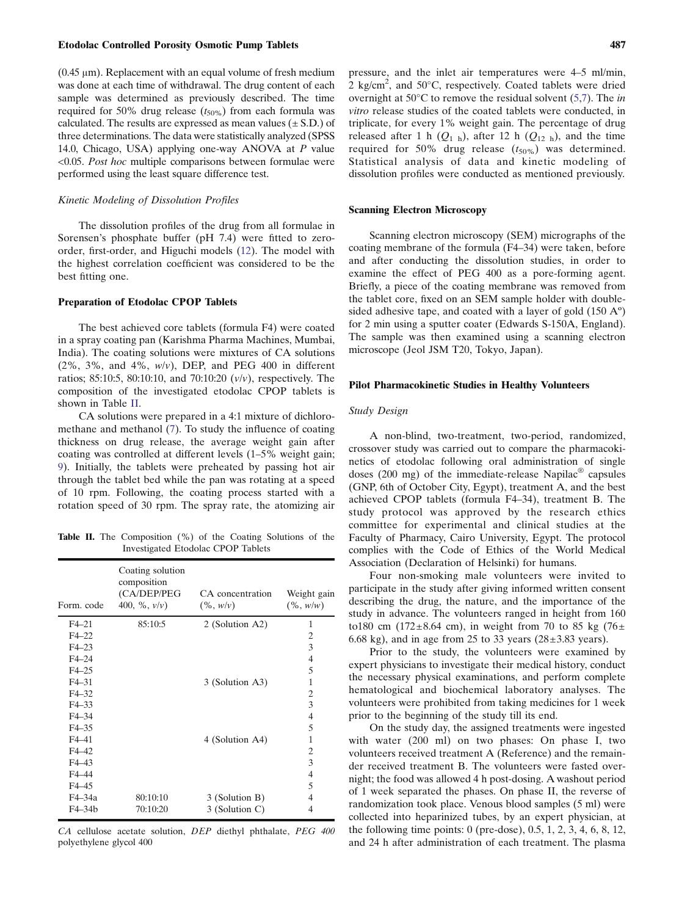#### Etodolac Controlled Porosity Osmotic Pump Tablets 487

 $(0.45 \mu m)$ . Replacement with an equal volume of fresh medium was done at each time of withdrawal. The drug content of each sample was determined as previously described. The time required for 50% drug release  $(t_{50\%})$  from each formula was calculated. The results are expressed as mean values  $(\pm S.D.)$  of three determinations. The data were statistically analyzed (SPSS 14.0, Chicago, USA) applying one-way ANOVA at P value <0.05. Post hoc multiple comparisons between formulae were performed using the least square difference test.

#### Kinetic Modeling of Dissolution Profiles

The dissolution profiles of the drug from all formulae in Sorensen's phosphate buffer (pH 7.4) were fitted to zeroorder, first-order, and Higuchi models ([12\)](#page-9-0). The model with the highest correlation coefficient was considered to be the best fitting one.

## Preparation of Etodolac CPOP Tablets

The best achieved core tablets (formula F4) were coated in a spray coating pan (Karishma Pharma Machines, Mumbai, India). The coating solutions were mixtures of CA solutions  $(2\%, 3\%, \text{ and } 4\%, w/v)$ , DEP, and PEG 400 in different ratios; 85:10:5, 80:10:10, and 70:10:20 (v/v), respectively. The composition of the investigated etodolac CPOP tablets is shown in Table II.

CA solutions were prepared in a 4:1 mixture of dichloromethane and methanol ([7](#page-9-0)). To study the influence of coating thickness on drug release, the average weight gain after coating was controlled at different levels (1–5% weight gain; [9\)](#page-9-0). Initially, the tablets were preheated by passing hot air through the tablet bed while the pan was rotating at a speed of 10 rpm. Following, the coating process started with a rotation speed of 30 rpm. The spray rate, the atomizing air

Table II. The Composition (%) of the Coating Solutions of the Investigated Etodolac CPOP Tablets

| Form. code | Coating solution<br>composition<br>(CA/DEP/PEG<br>400, $\%$ , $v/v$ ) | CA concentration<br>$(\%, w/v)$ | Weight gain<br>$(\%$ , $w/w)$ |
|------------|-----------------------------------------------------------------------|---------------------------------|-------------------------------|
| $F4-21$    | 85:10:5                                                               | 2 (Solution A2)                 | 1                             |
| $F4-22$    |                                                                       |                                 | 2                             |
| $F4 - 23$  |                                                                       |                                 | 3                             |
| $F4-24$    |                                                                       |                                 | 4                             |
| $F4-25$    |                                                                       |                                 | 5                             |
| $F4 - 31$  |                                                                       | 3 (Solution A3)                 | 1                             |
| $F4 - 32$  |                                                                       |                                 | 2                             |
| $F4-33$    |                                                                       |                                 | 3                             |
| $F4 - 34$  |                                                                       |                                 | $\overline{4}$                |
| $F4 - 35$  |                                                                       |                                 | 5                             |
| $F4-41$    |                                                                       | 4 (Solution A4)                 | 1                             |
| $F4-42$    |                                                                       |                                 | 2                             |
| $F4 - 43$  |                                                                       |                                 | 3                             |
| F4-44      |                                                                       |                                 | 4                             |
| $F4-45$    |                                                                       |                                 | 5                             |
| $F4 - 34a$ | 80:10:10                                                              | 3 (Solution B)                  | 4                             |
| $F4-34b$   | 70:10:20                                                              | 3 (Solution C)                  | 4                             |

CA cellulose acetate solution, DEP diethyl phthalate, PEG 400 polyethylene glycol 400

pressure, and the inlet air temperatures were 4–5 ml/min,  $2$  kg/cm<sup>2</sup>, and 50 $^{\circ}$ C, respectively. Coated tablets were dried overnight at 50°C to remove the residual solvent ([5,7\)](#page-9-0). The in vitro release studies of the coated tablets were conducted, in triplicate, for every 1% weight gain. The percentage of drug released after 1 h  $(Q_{1 h})$ , after 12 h  $(Q_{12 h})$ , and the time required for 50% drug release  $(t_{50\%})$  was determined. Statistical analysis of data and kinetic modeling of dissolution profiles were conducted as mentioned previously.

#### Scanning Electron Microscopy

Scanning electron microscopy (SEM) micrographs of the coating membrane of the formula (F4–34) were taken, before and after conducting the dissolution studies, in order to examine the effect of PEG 400 as a pore-forming agent. Briefly, a piece of the coating membrane was removed from the tablet core, fixed on an SEM sample holder with doublesided adhesive tape, and coated with a layer of gold (150 Aº) for 2 min using a sputter coater (Edwards S-150A, England). The sample was then examined using a scanning electron microscope (Jeol JSM T20, Tokyo, Japan).

## Pilot Pharmacokinetic Studies in Healthy Volunteers

#### Study Design

A non-blind, two-treatment, two-period, randomized, crossover study was carried out to compare the pharmacokinetics of etodolac following oral administration of single doses (200 mg) of the immediate-release Napilac® capsules (GNP, 6th of October City, Egypt), treatment A, and the best achieved CPOP tablets (formula F4–34), treatment B. The study protocol was approved by the research ethics committee for experimental and clinical studies at the Faculty of Pharmacy, Cairo University, Egypt. The protocol complies with the Code of Ethics of the World Medical Association (Declaration of Helsinki) for humans.

Four non-smoking male volunteers were invited to participate in the study after giving informed written consent describing the drug, the nature, and the importance of the study in advance. The volunteers ranged in height from 160 to180 cm (172 $\pm$ 8.64 cm), in weight from 70 to 85 kg (76 $\pm$ 6.68 kg), and in age from 25 to 33 years ( $28 \pm 3.83$  years).

Prior to the study, the volunteers were examined by expert physicians to investigate their medical history, conduct the necessary physical examinations, and perform complete hematological and biochemical laboratory analyses. The volunteers were prohibited from taking medicines for 1 week prior to the beginning of the study till its end.

On the study day, the assigned treatments were ingested with water (200 ml) on two phases: On phase I, two volunteers received treatment A (Reference) and the remainder received treatment B. The volunteers were fasted overnight; the food was allowed 4 h post-dosing. A washout period of 1 week separated the phases. On phase II, the reverse of randomization took place. Venous blood samples (5 ml) were collected into heparinized tubes, by an expert physician, at the following time points: 0 (pre-dose), 0.5, 1, 2, 3, 4, 6, 8, 12, and 24 h after administration of each treatment. The plasma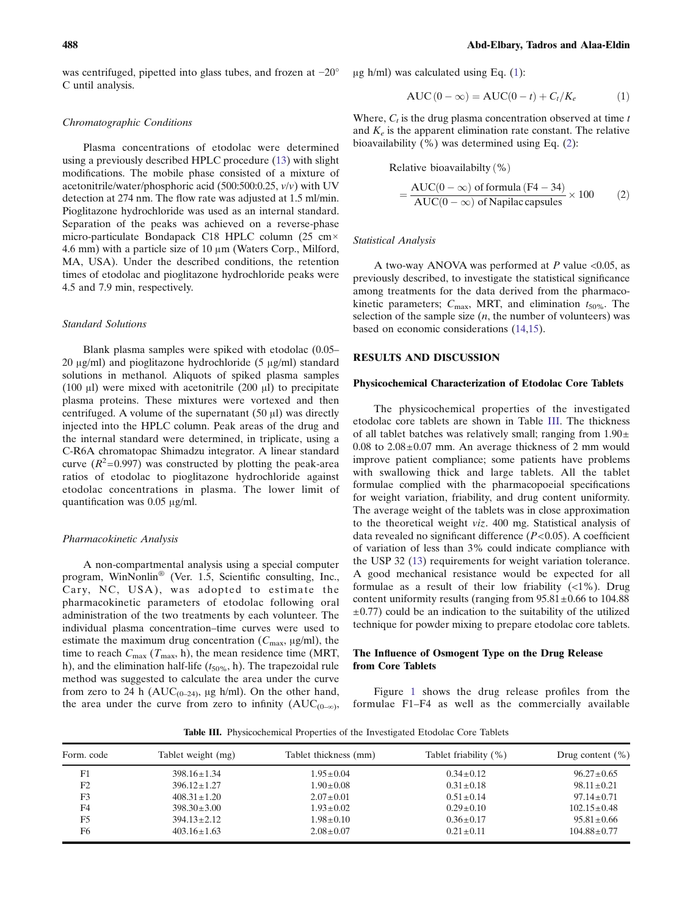was centrifuged, pipetted into glass tubes, and frozen at −20° C until analysis.

#### Chromatographic Conditions

Plasma concentrations of etodolac were determined using a previously described HPLC procedure [\(13](#page-9-0)) with slight modifications. The mobile phase consisted of a mixture of acetonitrile/water/phosphoric acid (500:500:0.25,  $v/v$ ) with UV detection at 274 nm. The flow rate was adjusted at 1.5 ml/min. Pioglitazone hydrochloride was used as an internal standard. Separation of the peaks was achieved on a reverse-phase micro-particulate Bondapack C18 HPLC column (25 cm× 4.6 mm) with a particle size of 10 μm (Waters Corp., Milford, MA, USA). Under the described conditions, the retention times of etodolac and pioglitazone hydrochloride peaks were 4.5 and 7.9 min, respectively.

## Standard Solutions

Blank plasma samples were spiked with etodolac (0.05– 20 μg/ml) and pioglitazone hydrochloride (5 μg/ml) standard solutions in methanol. Aliquots of spiked plasma samples (100 μl) were mixed with acetonitrile (200 μl) to precipitate plasma proteins. These mixtures were vortexed and then centrifuged. A volume of the supernatant  $(50 \mu l)$  was directly injected into the HPLC column. Peak areas of the drug and the internal standard were determined, in triplicate, using a C-R6A chromatopac Shimadzu integrator. A linear standard curve  $(R^2=0.997)$  was constructed by plotting the peak-area ratios of etodolac to pioglitazone hydrochloride against etodolac concentrations in plasma. The lower limit of quantification was 0.05 μg/ml.

#### Pharmacokinetic Analysis

A non-compartmental analysis using a special computer program, WinNonlin® (Ver. 1.5, Scientific consulting, Inc., Cary, NC, USA), was adopted to estimate the pharmacokinetic parameters of etodolac following oral administration of the two treatments by each volunteer. The individual plasma concentration–time curves were used to estimate the maximum drug concentration  $(C_{\text{max}}, \mu g/\text{ml})$ , the time to reach  $C_{\text{max}}$  ( $T_{\text{max}}$ , h), the mean residence time (MRT, h), and the elimination half-life  $(t_{50\%}, h)$ . The trapezoidal rule method was suggested to calculate the area under the curve from zero to 24 h ( $AUC_{(0-24)}$ , μg h/ml). On the other hand, the area under the curve from zero to infinity  $(AUC_{(0-\infty)},$ 

μg h/ml) was calculated using Eq. (1):

$$
AUC(0 - \infty) = AUC(0 - t) + C_t/K_e
$$
 (1)

Where,  $C_t$  is the drug plasma concentration observed at time t and  $K_e$  is the apparent elimination rate constant. The relative bioavailability (%) was determined using Eq. (2):

Relative bioavailabilty  $(\%)$ 

$$
= \frac{\text{AUC}(0 - \infty) \text{ of formula (F4 - 34)}}{\text{AUC}(0 - \infty) \text{ of Napilac capsules}} \times 100 \tag{2}
$$

#### Statistical Analysis

A two-way ANOVA was performed at P value  $\leq 0.05$ , as previously described, to investigate the statistical significance among treatments for the data derived from the pharmacokinetic parameters;  $C_{\text{max}}$ , MRT, and elimination  $t_{50\%}$ . The selection of the sample size  $(n,$  the number of volunteers) was based on economic considerations [\(14](#page-9-0)[,15](#page-10-0)).

## RESULTS AND DISCUSSION

### Physicochemical Characterization of Etodolac Core Tablets

The physicochemical properties of the investigated etodolac core tablets are shown in Table III. The thickness of all tablet batches was relatively small; ranging from  $1.90 \pm$  $0.08$  to  $2.08 \pm 0.07$  mm. An average thickness of 2 mm would improve patient compliance; some patients have problems with swallowing thick and large tablets. All the tablet formulae complied with the pharmacopoeial specifications for weight variation, friability, and drug content uniformity. The average weight of the tablets was in close approximation to the theoretical weight viz. 400 mg. Statistical analysis of data revealed no significant difference  $(P<0.05)$ . A coefficient of variation of less than 3% could indicate compliance with the USP 32 ([13\)](#page-9-0) requirements for weight variation tolerance. A good mechanical resistance would be expected for all formulae as a result of their low friability (<1%). Drug content uniformity results (ranging from  $95.81 \pm 0.66$  to 104.88  $\pm$ 0.77) could be an indication to the suitability of the utilized technique for powder mixing to prepare etodolac core tablets.

## The Influence of Osmogent Type on the Drug Release from Core Tablets

Figure [1](#page-4-0) shows the drug release profiles from the formulae F1–F4 as well as the commercially available

Table III. Physicochemical Properties of the Investigated Etodolac Core Tablets

| Form. code     | Tablet weight (mg) | Tablet thickness (mm) | Tablet friability (%) | Drug content $(\% )$ |
|----------------|--------------------|-----------------------|-----------------------|----------------------|
| F1             | $398.16 + 1.34$    | $1.95 + 0.04$         | $0.34 + 0.12$         | $96.27 + 0.65$       |
| F <sub>2</sub> | $396.12 + 1.27$    | $1.90 \pm 0.08$       | $0.31 \pm 0.18$       | $98.11 \pm 0.21$     |
| F3             | $408.31 + 1.20$    | $2.07 \pm 0.01$       | $0.51 \pm 0.14$       | $97.14 + 0.71$       |
| F4             | $398.30 \pm 3.00$  | $1.93 \pm 0.02$       | $0.29 \pm 0.10$       | $102.15 + 0.48$      |
| F5             | $394.13 + 2.12$    | $1.98 \pm 0.10$       | $0.36 + 0.17$         | $95.81 \pm 0.66$     |
| F <sub>6</sub> | $403.16 + 1.63$    | $2.08 + 0.07$         | $0.21 + 0.11$         | $104.88 \pm 0.77$    |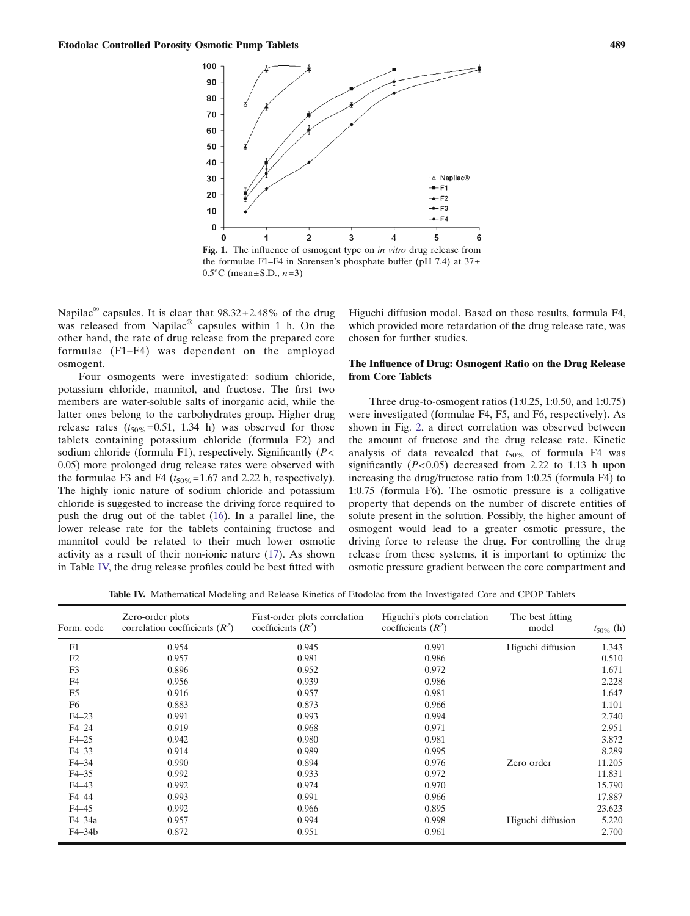<span id="page-4-0"></span>

Fig. 1. The influence of osmogent type on in vitro drug release from the formulae F1–F4 in Sorensen's phosphate buffer (pH 7.4) at  $37\pm$  $0.5^{\circ}$ C (mean ± S.D.,  $n=3$ )

Napilac<sup>®</sup> capsules. It is clear that  $98.32 \pm 2.48\%$  of the drug was released from Napilac<sup>®</sup> capsules within 1 h. On the other hand, the rate of drug release from the prepared core formulae (F1–F4) was dependent on the employed osmogent.

Four osmogents were investigated: sodium chloride, potassium chloride, mannitol, and fructose. The first two members are water-soluble salts of inorganic acid, while the latter ones belong to the carbohydrates group. Higher drug release rates  $(t_{50\%}=0.51, 1.34 \text{ h})$  was observed for those tablets containing potassium chloride (formula F2) and sodium chloride (formula F1), respectively. Significantly  $(P<$ 0.05) more prolonged drug release rates were observed with the formulae F3 and F4 ( $t_{50\%}$ =1.67 and 2.22 h, respectively). The highly ionic nature of sodium chloride and potassium chloride is suggested to increase the driving force required to push the drug out of the tablet [\(16](#page-10-0)). In a parallel line, the lower release rate for the tablets containing fructose and mannitol could be related to their much lower osmotic activity as a result of their non-ionic nature ([17\)](#page-10-0). As shown in Table IV, the drug release profiles could be best fitted with Higuchi diffusion model. Based on these results, formula F4, which provided more retardation of the drug release rate, was chosen for further studies.

## The Influence of Drug: Osmogent Ratio on the Drug Release from Core Tablets

Three drug-to-osmogent ratios (1:0.25, 1:0.50, and 1:0.75) were investigated (formulae F4, F5, and F6, respectively). As shown in Fig. [2,](#page-5-0) a direct correlation was observed between the amount of fructose and the drug release rate. Kinetic analysis of data revealed that  $t_{50\%}$  of formula F4 was significantly  $(P<0.05)$  decreased from 2.22 to 1.13 h upon increasing the drug/fructose ratio from 1:0.25 (formula F4) to 1:0.75 (formula F6). The osmotic pressure is a colligative property that depends on the number of discrete entities of solute present in the solution. Possibly, the higher amount of osmogent would lead to a greater osmotic pressure, the driving force to release the drug. For controlling the drug release from these systems, it is important to optimize the osmotic pressure gradient between the core compartment and

Table IV. Mathematical Modeling and Release Kinetics of Etodolac from the Investigated Core and CPOP Tablets

| Form. code     | Zero-order plots<br>correlation coefficients $(R^2)$ | First-order plots correlation<br>coefficients $(R^2)$ | Higuchi's plots correlation<br>coefficients $(R^2)$ | The best fitting<br>model | $t_{50\%}$ (h) |
|----------------|------------------------------------------------------|-------------------------------------------------------|-----------------------------------------------------|---------------------------|----------------|
| F1             | 0.954                                                | 0.945                                                 | 0.991                                               | Higuchi diffusion         | 1.343          |
| F2             | 0.957                                                | 0.981                                                 | 0.986                                               |                           | 0.510          |
| F <sub>3</sub> | 0.896                                                | 0.952                                                 | 0.972                                               |                           | 1.671          |
| F4             | 0.956                                                | 0.939                                                 | 0.986                                               |                           | 2.228          |
| F <sub>5</sub> | 0.916                                                | 0.957                                                 | 0.981                                               |                           | 1.647          |
| F <sub>6</sub> | 0.883                                                | 0.873                                                 | 0.966                                               |                           | 1.101          |
| $F4-23$        | 0.991                                                | 0.993                                                 | 0.994                                               |                           | 2.740          |
| $F4-24$        | 0.919                                                | 0.968                                                 | 0.971                                               |                           | 2.951          |
| $F4-25$        | 0.942                                                | 0.980                                                 | 0.981                                               |                           | 3.872          |
| $F4 - 33$      | 0.914                                                | 0.989                                                 | 0.995                                               |                           | 8.289          |
| $F4 - 34$      | 0.990                                                | 0.894                                                 | 0.976                                               | Zero order                | 11.205         |
| $F4 - 35$      | 0.992                                                | 0.933                                                 | 0.972                                               |                           | 11.831         |
| $F4-43$        | 0.992                                                | 0.974                                                 | 0.970                                               |                           | 15.790         |
| F4-44          | 0.993                                                | 0.991                                                 | 0.966                                               |                           | 17.887         |
| $F4-45$        | 0.992                                                | 0.966                                                 | 0.895                                               |                           | 23.623         |
| F4-34a         | 0.957                                                | 0.994                                                 | 0.998                                               | Higuchi diffusion         | 5.220          |
| $F4-34b$       | 0.872                                                | 0.951                                                 | 0.961                                               |                           | 2.700          |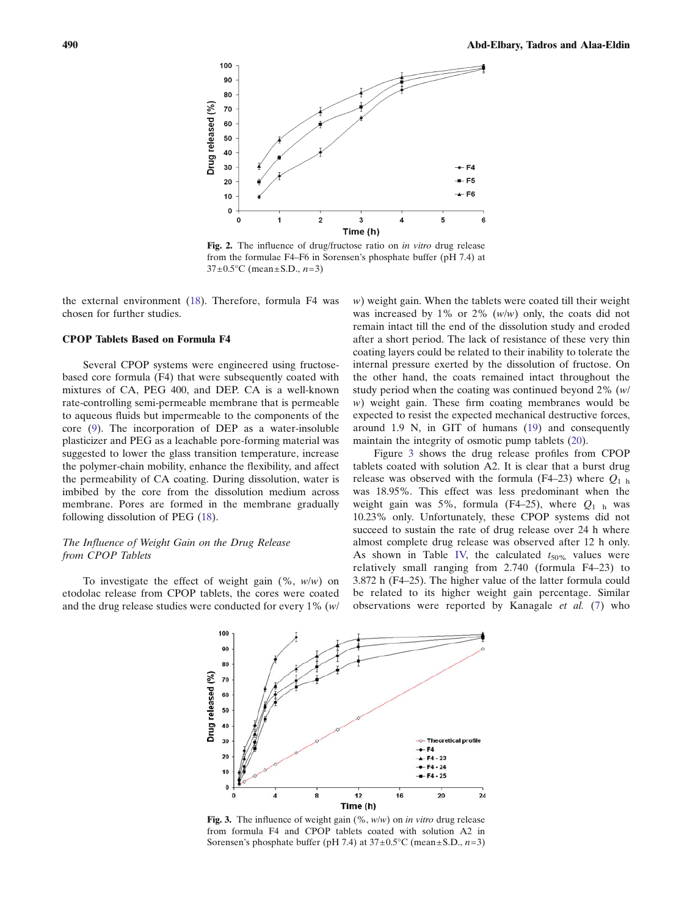<span id="page-5-0"></span>

Fig. 2. The influence of drug/fructose ratio on in vitro drug release from the formulae F4–F6 in Sorensen's phosphate buffer (pH 7.4) at  $37 \pm 0.5^{\circ}$ C (mean  $\pm$  S.D.,  $n=3$ )

the external environment [\(18](#page-10-0)). Therefore, formula F4 was chosen for further studies.

## CPOP Tablets Based on Formula F4

Several CPOP systems were engineered using fructosebased core formula (F4) that were subsequently coated with mixtures of CA, PEG 400, and DEP. CA is a well-known rate-controlling semi-permeable membrane that is permeable to aqueous fluids but impermeable to the components of the core [\(9\)](#page-9-0). The incorporation of DEP as a water-insoluble plasticizer and PEG as a leachable pore-forming material was suggested to lower the glass transition temperature, increase the polymer-chain mobility, enhance the flexibility, and affect the permeability of CA coating. During dissolution, water is imbibed by the core from the dissolution medium across membrane. Pores are formed in the membrane gradually following dissolution of PEG ([18\)](#page-10-0).

## The Influence of Weight Gain on the Drug Release from CPOP Tablets

To investigate the effect of weight gain  $(\% , w/w)$  on etodolac release from CPOP tablets, the cores were coated and the drug release studies were conducted for every 1% (w/

w) weight gain. When the tablets were coated till their weight was increased by 1% or 2%  $(w/w)$  only, the coats did not remain intact till the end of the dissolution study and eroded after a short period. The lack of resistance of these very thin coating layers could be related to their inability to tolerate the internal pressure exerted by the dissolution of fructose. On the other hand, the coats remained intact throughout the study period when the coating was continued beyond 2% (w/ w) weight gain. These firm coating membranes would be expected to resist the expected mechanical destructive forces, around 1.9 N, in GIT of humans ([19](#page-10-0)) and consequently maintain the integrity of osmotic pump tablets [\(20](#page-10-0)).

Figure 3 shows the drug release profiles from CPOP tablets coated with solution A2. It is clear that a burst drug release was observed with the formula (F4–23) where  $Q_{1 h}$ was 18.95%. This effect was less predominant when the weight gain was 5%, formula (F4–25), where  $Q_1$  h was 10.23% only. Unfortunately, these CPOP systems did not succeed to sustain the rate of drug release over 24 h where almost complete drug release was observed after 12 h only. As shown in Table [IV,](#page-4-0) the calculated  $t_{50\%}$  values were relatively small ranging from 2.740 (formula F4–23) to 3.872 h (F4–25). The higher value of the latter formula could be related to its higher weight gain percentage. Similar observations were reported by Kanagale et al. ([7](#page-9-0)) who



Fig. 3. The influence of weight gain  $(\%$ ,  $w/w$  on *in vitro* drug release from formula F4 and CPOP tablets coated with solution A2 in Sorensen's phosphate buffer (pH 7.4) at  $37 \pm 0.5^{\circ}$ C (mean $\pm$ S.D., n=3)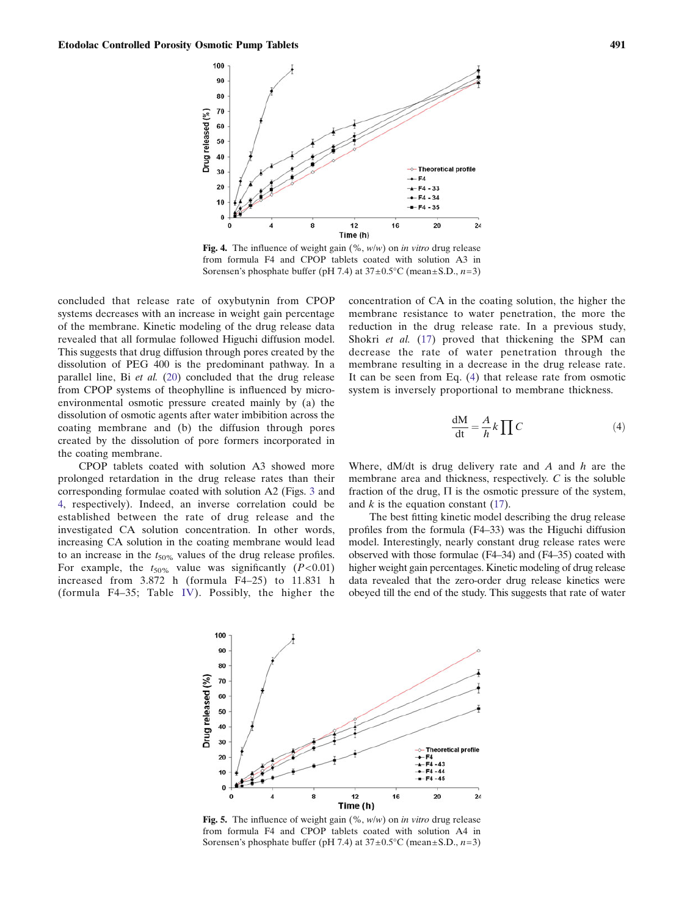<span id="page-6-0"></span>

Fig. 4. The influence of weight gain  $(\%$ ,  $w/w$  on *in vitro* drug release from formula F4 and CPOP tablets coated with solution A3 in Sorensen's phosphate buffer (pH 7.4) at  $37 \pm 0.5^{\circ}$ C (mean $\pm$ S.D., n=3)

concluded that release rate of oxybutynin from CPOP systems decreases with an increase in weight gain percentage of the membrane. Kinetic modeling of the drug release data revealed that all formulae followed Higuchi diffusion model. This suggests that drug diffusion through pores created by the dissolution of PEG 400 is the predominant pathway. In a parallel line, Bi et al. [\(20](#page-10-0)) concluded that the drug release from CPOP systems of theophylline is influenced by microenvironmental osmotic pressure created mainly by (a) the dissolution of osmotic agents after water imbibition across the coating membrane and (b) the diffusion through pores created by the dissolution of pore formers incorporated in the coating membrane.

CPOP tablets coated with solution A3 showed more prolonged retardation in the drug release rates than their corresponding formulae coated with solution A2 (Figs. [3](#page-5-0) and 4, respectively). Indeed, an inverse correlation could be established between the rate of drug release and the investigated CA solution concentration. In other words, increasing CA solution in the coating membrane would lead to an increase in the  $t_{50\%}$  values of the drug release profiles. For example, the  $t_{50\%}$  value was significantly ( $P<0.01$ ) increased from 3.872 h (formula F4–25) to 11.831 h (formula F4–35; Table [IV\)](#page-4-0). Possibly, the higher the concentration of CA in the coating solution, the higher the membrane resistance to water penetration, the more the reduction in the drug release rate. In a previous study, Shokri et al. ([17\)](#page-10-0) proved that thickening the SPM can decrease the rate of water penetration through the membrane resulting in a decrease in the drug release rate. It can be seen from Eq. (4) that release rate from osmotic system is inversely proportional to membrane thickness.

$$
\frac{dM}{dt} = \frac{A}{h} k \prod C
$$
 (4)

Where,  $dM/dt$  is drug delivery rate and A and h are the membrane area and thickness, respectively. C is the soluble fraction of the drug,  $\Pi$  is the osmotic pressure of the system, and  $k$  is the equation constant [\(17](#page-10-0)).

The best fitting kinetic model describing the drug release profiles from the formula (F4–33) was the Higuchi diffusion model. Interestingly, nearly constant drug release rates were observed with those formulae (F4–34) and (F4–35) coated with higher weight gain percentages. Kinetic modeling of drug release data revealed that the zero-order drug release kinetics were obeyed till the end of the study. This suggests that rate of water



Fig. 5. The influence of weight gain  $(\%$ ,  $w/w$  on *in vitro* drug release from formula F4 and CPOP tablets coated with solution A4 in Sorensen's phosphate buffer (pH 7.4) at  $37 \pm 0.5^{\circ}$ C (mean $\pm$ S.D., n=3)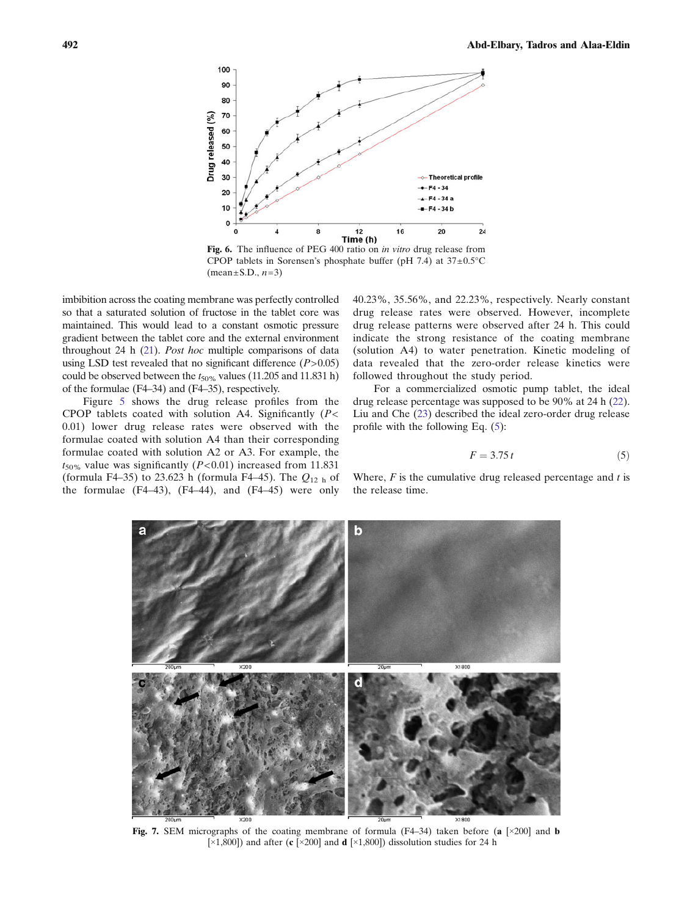<span id="page-7-0"></span>

Fig. 6. The influence of PEG 400 ratio on in vitro drug release from CPOP tablets in Sorensen's phosphate buffer (pH 7.4) at  $37 \pm 0.5^{\circ}$ C  $(mean \pm S.D., n=3)$ 

imbibition across the coating membrane was perfectly controlled so that a saturated solution of fructose in the tablet core was maintained. This would lead to a constant osmotic pressure gradient between the tablet core and the external environment throughout 24 h [\(21\)](#page-10-0). Post hoc multiple comparisons of data using LSD test revealed that no significant difference  $(P>0.05)$ could be observed between the  $t_{50\%}$  values (11.205 and 11.831 h) of the formulae (F4–34) and (F4–35), respectively.

Figure [5](#page-6-0) shows the drug release profiles from the CPOP tablets coated with solution A4. Significantly  $(P <$ 0.01) lower drug release rates were observed with the formulae coated with solution A4 than their corresponding formulae coated with solution A2 or A3. For example, the  $t_{50\%}$  value was significantly (P<0.01) increased from 11.831 (formula F4–35) to 23.623 h (formula F4–45). The  $Q_{12 h}$  of the formulae (F4–43), (F4–44), and (F4–45) were only 40.23%, 35.56%, and 22.23%, respectively. Nearly constant drug release rates were observed. However, incomplete drug release patterns were observed after 24 h. This could indicate the strong resistance of the coating membrane (solution A4) to water penetration. Kinetic modeling of data revealed that the zero-order release kinetics were followed throughout the study period.

For a commercialized osmotic pump tablet, the ideal drug release percentage was supposed to be 90% at 24 h [\(22](#page-10-0)). Liu and Che [\(23](#page-10-0)) described the ideal zero-order drug release profile with the following Eq. (5):

$$
F = 3.75 t \tag{5}
$$

Where,  $F$  is the cumulative drug released percentage and  $t$  is the release time.



Fig. 7. SEM micrographs of the coating membrane of formula  $(F4-34)$  taken before (a [ $\times$ 200] and b [ $\times$ 1,800]) and after (c [ $\times$ 200] and d [ $\times$ 1,800]) dissolution studies for 24 h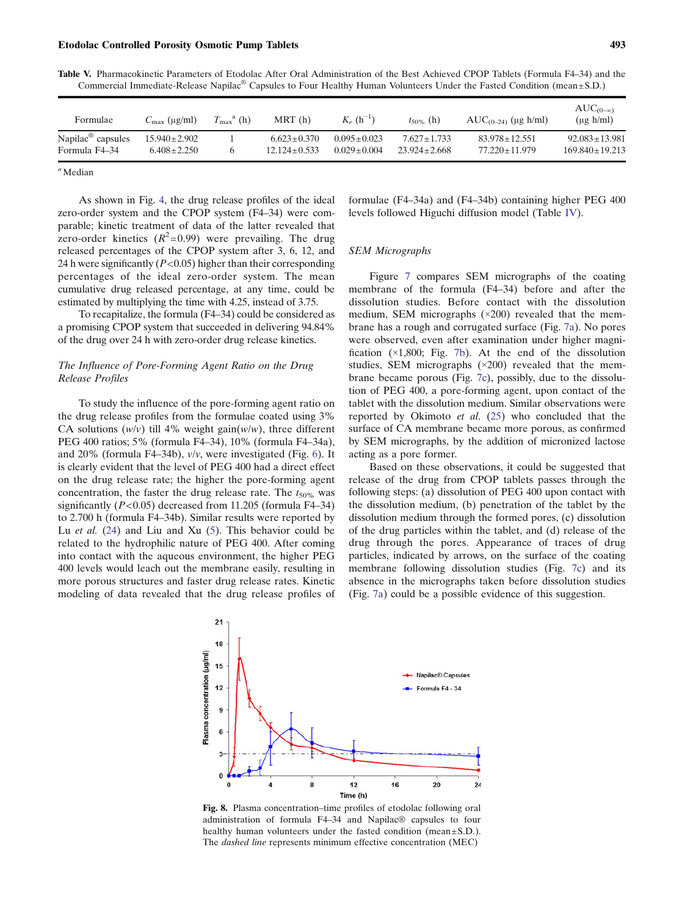<span id="page-8-0"></span>

| Commercial Immediate-Release Napilac® Capsules to Four Healthy Human Volunteers Under the Fasted Condition (mean±S.D.) |
|------------------------------------------------------------------------------------------------------------------------|
|                                                                                                                        |

| Formulae                                       | $C_{\text{max}}$ (µg/ml)              | $T_{\rm max}^{\rm a}$ (h) | MRT(h)                              | $K_e(h^{-1})$                      | $t_{50\%}$ (h)                      | $AUC_{(0-24)} (\mu g h/ml)$            | $AUC_{(0-\infty)}$<br>$(\mu g \, h/ml)$ |
|------------------------------------------------|---------------------------------------|---------------------------|-------------------------------------|------------------------------------|-------------------------------------|----------------------------------------|-----------------------------------------|
| Napilac <sup>®</sup> capsules<br>Formula F4–34 | $15.940 \pm 2.902$<br>$6.408 + 2.250$ |                           | $6.623 + 0.370$<br>$12.124 + 0.533$ | $0.095 + 0.023$<br>$0.029 + 0.004$ | $7.627 + 1.733$<br>$23.924 + 2.668$ | $83.978 + 12.551$<br>$77.220 + 11.979$ | $92.083 + 13.981$<br>$169.840 + 19.213$ |
|                                                |                                       |                           |                                     |                                    |                                     |                                        |                                         |

 $a$  Median

As shown in Fig. [4,](#page-6-0) the drug release profiles of the ideal zero-order system and the CPOP system (F4–34) were comparable; kinetic treatment of data of the latter revealed that zero-order kinetics  $(R^2=0.99)$  were prevailing. The drug released percentages of the CPOP system after 3, 6, 12, and 24 h were significantly  $(P<0.05)$  higher than their corresponding percentages of the ideal zero-order system. The mean cumulative drug released percentage, at any time, could be estimated by multiplying the time with 4.25, instead of 3.75.

To recapitalize, the formula (F4–34) could be considered as a promising CPOP system that succeeded in delivering 94.84% of the drug over 24 h with zero-order drug release kinetics.

## The Influence of Pore-Forming Agent Ratio on the Drug Release Profiles

To study the influence of the pore-forming agent ratio on the drug release profiles from the formulae coated using 3% CA solutions  $(w/v)$  till 4% weight gain $(w/w)$ , three different PEG 400 ratios; 5% (formula F4–34), 10% (formula F4–34a), and 20% (formula F4–34b), v/v, were investigated (Fig. [6](#page-7-0)). It is clearly evident that the level of PEG 400 had a direct effect on the drug release rate; the higher the pore-forming agent concentration, the faster the drug release rate. The  $t_{50\%}$  was significantly  $(P<0.05)$  decreased from 11.205 (formula F4–34) to 2.700 h (formula F4–34b). Similar results were reported by Lu et al.  $(24)$  $(24)$  and Liu and Xu  $(5)$ . This behavior could be related to the hydrophilic nature of PEG 400. After coming into contact with the aqueous environment, the higher PEG 400 levels would leach out the membrane easily, resulting in more porous structures and faster drug release rates. Kinetic modeling of data revealed that the drug release profiles of formulae (F4–34a) and (F4–34b) containing higher PEG 400 levels followed Higuchi diffusion model (Table [IV](#page-4-0)).

## SEM Micrographs

Figure [7](#page-7-0) compares SEM micrographs of the coating membrane of the formula (F4–34) before and after the dissolution studies. Before contact with the dissolution medium, SEM micrographs (×200) revealed that the membrane has a rough and corrugated surface (Fig. [7a](#page-7-0)). No pores were observed, even after examination under higher magnification  $(x1,800;$  Fig. [7b\)](#page-7-0). At the end of the dissolution studies, SEM micrographs (×200) revealed that the membrane became porous (Fig. [7c](#page-7-0)), possibly, due to the dissolution of PEG 400, a pore-forming agent, upon contact of the tablet with the dissolution medium. Similar observations were reported by Okimoto et al. ([25\)](#page-10-0) who concluded that the surface of CA membrane became more porous, as confirmed by SEM micrographs, by the addition of micronized lactose acting as a pore former.

Based on these observations, it could be suggested that release of the drug from CPOP tablets passes through the following steps: (a) dissolution of PEG 400 upon contact with the dissolution medium, (b) penetration of the tablet by the dissolution medium through the formed pores, (c) dissolution of the drug particles within the tablet, and (d) release of the drug through the pores. Appearance of traces of drug particles, indicated by arrows, on the surface of the coating membrane following dissolution studies (Fig. [7c](#page-7-0)) and its absence in the micrographs taken before dissolution studies (Fig. [7a](#page-7-0)) could be a possible evidence of this suggestion.



Fig. 8. Plasma concentration–time profiles of etodolac following oral administration of formula F4–34 and Napilac® capsules to four healthy human volunteers under the fasted condition (mean±S.D.). The dashed line represents minimum effective concentration (MEC)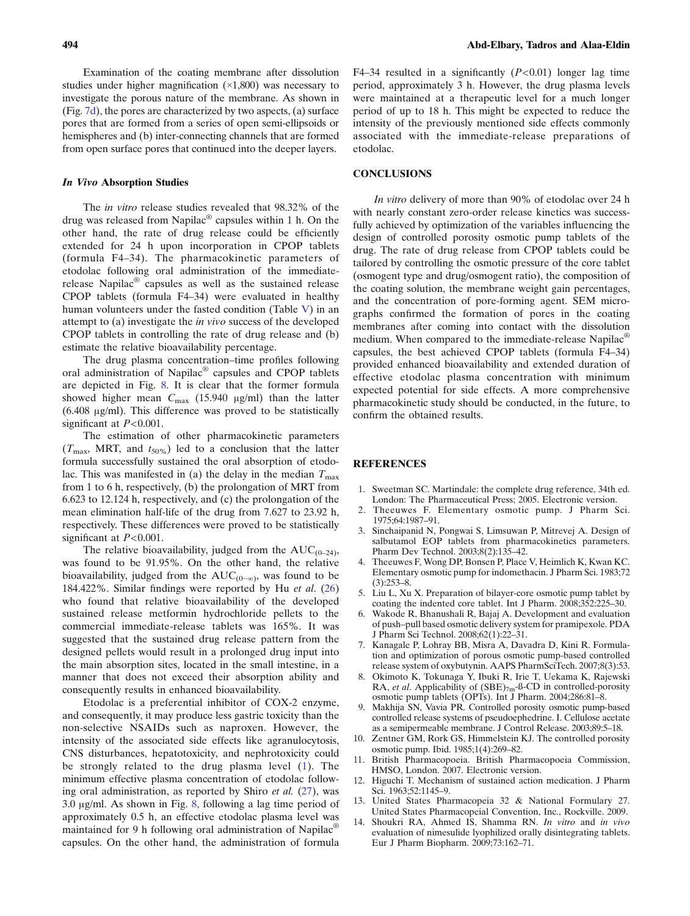<span id="page-9-0"></span>Examination of the coating membrane after dissolution studies under higher magnification (×1,800) was necessary to investigate the porous nature of the membrane. As shown in (Fig. [7d\)](#page-7-0), the pores are characterized by two aspects, (a) surface pores that are formed from a series of open semi-ellipsoids or hemispheres and (b) inter-connecting channels that are formed from open surface pores that continued into the deeper layers.

#### In Vivo Absorption Studies

The in vitro release studies revealed that 98.32% of the drug was released from Napilac® capsules within 1 h. On the other hand, the rate of drug release could be efficiently extended for 24 h upon incorporation in CPOP tablets (formula F4–34). The pharmacokinetic parameters of etodolac following oral administration of the immediaterelease Napilac® capsules as well as the sustained release CPOP tablets (formula F4–34) were evaluated in healthy human volunteers under the fasted condition (Table [V](#page-8-0)) in an attempt to (a) investigate the in vivo success of the developed CPOP tablets in controlling the rate of drug release and (b) estimate the relative bioavailability percentage.

The drug plasma concentration–time profiles following oral administration of Napilac® capsules and CPOP tablets are depicted in Fig. [8.](#page-8-0) It is clear that the former formula showed higher mean  $C_{\text{max}}$  (15.940 μg/ml) than the latter (6.408 μg/ml). This difference was proved to be statistically significant at  $P < 0.001$ .

The estimation of other pharmacokinetic parameters  $(T_{\text{max}}, \text{ MRT}, \text{ and } t_{50\%})$  led to a conclusion that the latter formula successfully sustained the oral absorption of etodolac. This was manifested in (a) the delay in the median  $T_{\text{max}}$ from 1 to 6 h, respectively, (b) the prolongation of MRT from 6.623 to 12.124 h, respectively, and (c) the prolongation of the mean elimination half-life of the drug from 7.627 to 23.92 h, respectively. These differences were proved to be statistically significant at  $P < 0.001$ .

The relative bioavailability, judged from the  $AUC_{(0-24)}$ , was found to be 91.95%. On the other hand, the relative bioavailability, judged from the AUC<sub>(0−∞)</sub>, was found to be 184.422%. Similar findings were reported by Hu et al. [\(26](#page-10-0)) who found that relative bioavailability of the developed sustained release metformin hydrochloride pellets to the commercial immediate-release tablets was 165%. It was suggested that the sustained drug release pattern from the designed pellets would result in a prolonged drug input into the main absorption sites, located in the small intestine, in a manner that does not exceed their absorption ability and consequently results in enhanced bioavailability.

Etodolac is a preferential inhibitor of COX-2 enzyme, and consequently, it may produce less gastric toxicity than the non-selective NSAIDs such as naproxen. However, the intensity of the associated side effects like agranulocytosis, CNS disturbances, hepatotoxicity, and nephrotoxicity could be strongly related to the drug plasma level (1). The minimum effective plasma concentration of etodolac following oral administration, as reported by Shiro et al. [\(27](#page-10-0)), was 3.0 μg/ml. As shown in Fig. [8,](#page-8-0) following a lag time period of approximately 0.5 h, an effective etodolac plasma level was maintained for 9 h following oral administration of Napilac® capsules. On the other hand, the administration of formula

F4–34 resulted in a significantly  $(P<0.01)$  longer lag time period, approximately 3 h. However, the drug plasma levels were maintained at a therapeutic level for a much longer period of up to 18 h. This might be expected to reduce the intensity of the previously mentioned side effects commonly associated with the immediate-release preparations of etodolac.

#### CONCLUSIONS

In vitro delivery of more than 90% of etodolac over 24 h with nearly constant zero-order release kinetics was successfully achieved by optimization of the variables influencing the design of controlled porosity osmotic pump tablets of the drug. The rate of drug release from CPOP tablets could be tailored by controlling the osmotic pressure of the core tablet (osmogent type and drug/osmogent ratio), the composition of the coating solution, the membrane weight gain percentages, and the concentration of pore-forming agent. SEM micrographs confirmed the formation of pores in the coating membranes after coming into contact with the dissolution medium. When compared to the immediate-release Napilac<sup>®</sup> capsules, the best achieved CPOP tablets (formula F4–34) provided enhanced bioavailability and extended duration of effective etodolac plasma concentration with minimum expected potential for side effects. A more comprehensive pharmacokinetic study should be conducted, in the future, to confirm the obtained results.

## **REFERENCES**

- 1. Sweetman SC. Martindale: the complete drug reference, 34th ed. London: The Pharmaceutical Press; 2005. Electronic version.
- 2. Theeuwes F. Elementary osmotic pump. J Pharm Sci. 1975;64:1987–91.
- 3. Sinchaipanid N, Pongwai S, Limsuwan P, Mitrevej A. Design of salbutamol EOP tablets from pharmacokinetics parameters. Pharm Dev Technol. 2003;8(2):135–42.
- 4. Theeuwes F, Wong DP, Bonsen P, Place V, Heimlich K, Kwan KC. Elementary osmotic pump for indomethacin. J Pharm Sci. 1983;72 (3):253–8.
- 5. Liu L, Xu X. Preparation of bilayer-core osmotic pump tablet by coating the indented core tablet. Int J Pharm. 2008;352:225–30.
- 6. Wakode R, Bhanushali R, Bajaj A. Development and evaluation of push–pull based osmotic delivery system for pramipexole. PDA J Pharm Sci Technol. 2008;62(1):22–31.
- 7. Kanagale P, Lohray BB, Misra A, Davadra D, Kini R. Formulation and optimization of porous osmotic pump-based controlled release system of oxybutynin. AAPS PharmSciTech. 2007;8(3):53.
- 8. Okimoto K, Tokunaga Y, Ibuki R, Irie T, Uekama K, Rajewski RA, et al. Applicability of  $(SBE)_{7m}$ -ß-CD in controlled-porosity osmotic pump tablets (OPTs). Int J Pharm. 2004;286:81–8.
- 9. Makhija SN, Vavia PR. Controlled porosity osmotic pump-based controlled release systems of pseudoephedrine. I. Cellulose acetate as a semipermeable membrane. J Control Release. 2003;89:5–18.
- 10. Zentner GM, Rork GS, Himmelstein KJ. The controlled porosity osmotic pump. Ibid. 1985;1(4):269–82.
- 11. British Pharmacopoeia. British Pharmacopoeia Commission, HMSO, London. 2007. Electronic version.
- 12. Higuchi T. Mechanism of sustained action medication. J Pharm Sci. 1963;52:1145–9.
- 13. United States Pharmacopeia 32 & National Formulary 27. United States Pharmacopeial Convention, Inc., Rockville. 2009.
- 14. Shoukri RA, Ahmed IS, Shamma RN. In vitro and in vivo evaluation of nimesulide lyophilized orally disintegrating tablets. Eur J Pharm Biopharm. 2009;73:162–71.